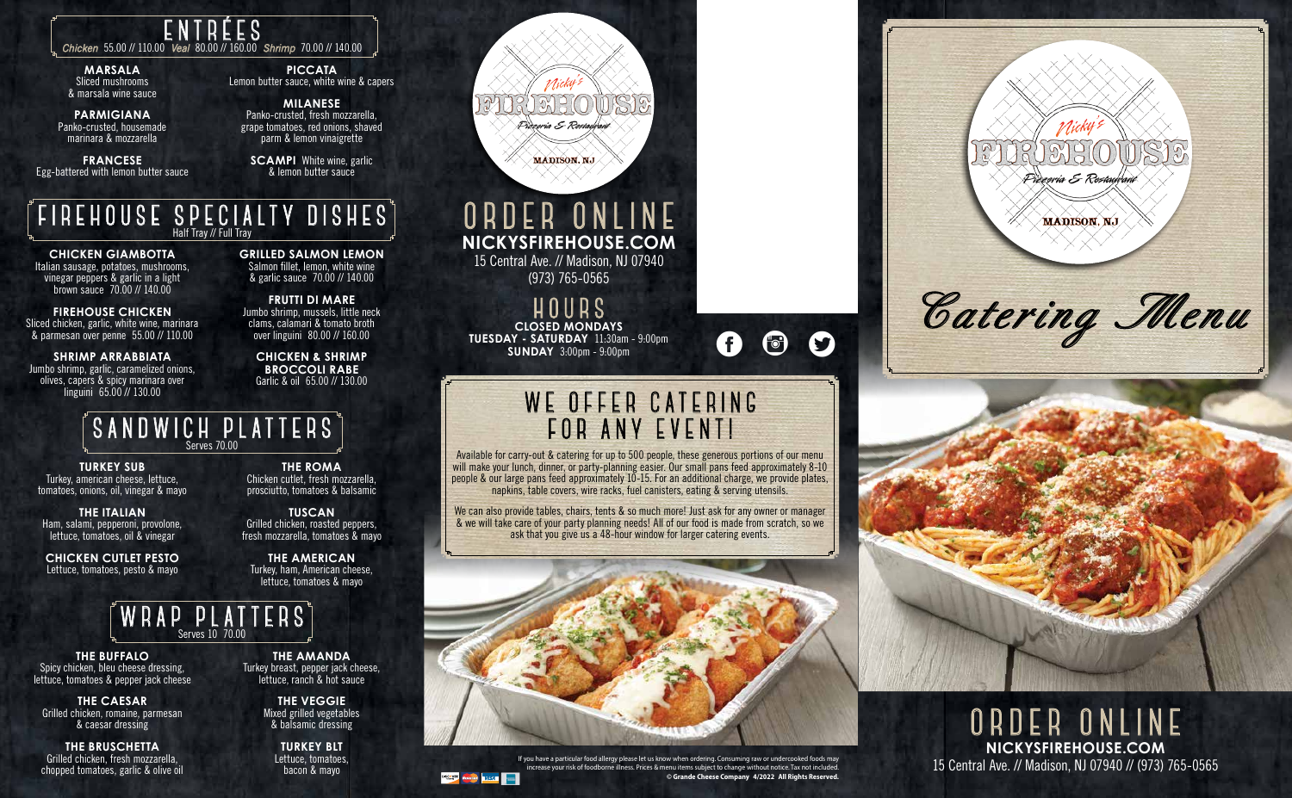**ORDER ONLINE NICKYSFIREHOUSE.COM** 15 Central Ave. // Madison, NJ 07940 // (973) 765-0565

### **SANDWICH PLATTERS** Serves 70.00

**TURKEY SUB** Turkey, american cheese, lettuce, tomatoes, onions, oil, vinegar & mayo

**THE ITALIAN** Ham, salami, pepperoni, provolone, lettuce, tomatoes, oil & vinegar

**THE BUFFALO** Spicy chicken, bleu cheese dressing, lettuce, tomatoes & pepper jack cheese

**CHICKEN CUTLET PESTO** Lettuce, tomatoes, pesto & mayo

**THE ROMA** Chicken cutlet, fresh mozzarella, prosciutto, tomatoes & balsamic

**TUSCAN** Grilled chicken, roasted peppers, fresh mozzarella, tomatoes & mayo

**THE AMERICAN** Turkey, ham, American cheese, lettuce, tomatoes & mayo



**THE CAESAR** Grilled chicken, romaine, parmesan & caesar dressing

**SCAMPI** White wine, garlic & lemon butter sauce

**THE BRUSCHETTA** Grilled chicken, fresh mozzarella, chopped tomatoes, garlic & olive oil

**THE AMANDA** Turkey breast, pepper jack cheese, lettuce, ranch & hot sauce

> **THE VEGGIE** Mixed grilled vegetables & balsamic dressing

**TURKEY BLT** Lettuce, tomatoes, bacon & mayo



**MADISON, NJ** 

## **ENTRÉES** *Chicken* 55.00 // 110.00 *Veal* 80.00 // 160.00 *Shrimp* 70.00 // 140.00

#### **MARSALA** Sliced mushrooms & marsala wine sauce

**PARMIGIANA** Panko-crusted, housemade marinara & mozzarella

**FRANCESE** Egg-battered with lemon butter sauce

**PICCATA** Lemon butter sauce, white wine & capers

**MILANESE** Panko-crusted, fresh mozzarella, grape tomatoes, red onions, shaved parm & lemon vinaigrette

> **HOURS CLOSED MONDAYS TUESDAY - SATURDAY** 11:30am - 9:00pm **SUNDAY** 3:00pm - 9:00pm

# **ORDER ONLINE NICKYSFIREHOUSE.COM**

15 Central Ave. // Madison, NJ 07940 (973) 765-0565

We can also provide tables, chairs, tents & so much more! Just ask for any owner or manager & we will take care of your party planning needs! All of our food is made from scratch, so we ask that you give us a 48-hour window for larger catering events.



If you have a particular food allergy please let us know when ordering. Consuming raw or undercooked foods may increase your risk of foodborne illness. Prices & menu items subject to change without notice. Tax not included. **© Grande Cheese Company 4/2022 All Rights Reserved.**



# WE OFFER CATERING<br>FOR ANY EVENT!

## **FIREHOUSE SPECIALTY DISHES** Half Tray // Full Tray

**CHICKEN GIAMBOTTA** Italian sausage, potatoes, mushrooms, vinegar peppers & garlic in a light brown sauce 70.00 // 140.00

**FIREHOUSE CHICKEN** Sliced chicken, garlic, white wine, marinara & parmesan over penne 55.00 // 110.00

**SHRIMP ARRABBIATA** Jumbo shrimp, garlic, caramelized onions, olives, capers & spicy marinara over linguini 65.00 // 130.00

**GRILLED SALMON LEMON** Salmon fillet, lemon, white wine & garlic sauce 70.00 // 140.00

**FRUTTI DI MARE** Jumbo shrimp, mussels, little neck clams, calamari & tomato broth over linguini 80.00 // 160.00

**CHICKEN & SHRIMP BROCCOLI RABE** Garlic & oil 65.00 // 130.00



Available for carry-out & catering for up to 500 people, these generous portions of our menu will make your lunch, dinner, or party-planning easier. Our small pans feed approximately 8-10 people & our large pans feed approximately 10-15. For an additional charge, we provide plates, napkins, table covers, wire racks, fuel canisters, eating & serving utensils.